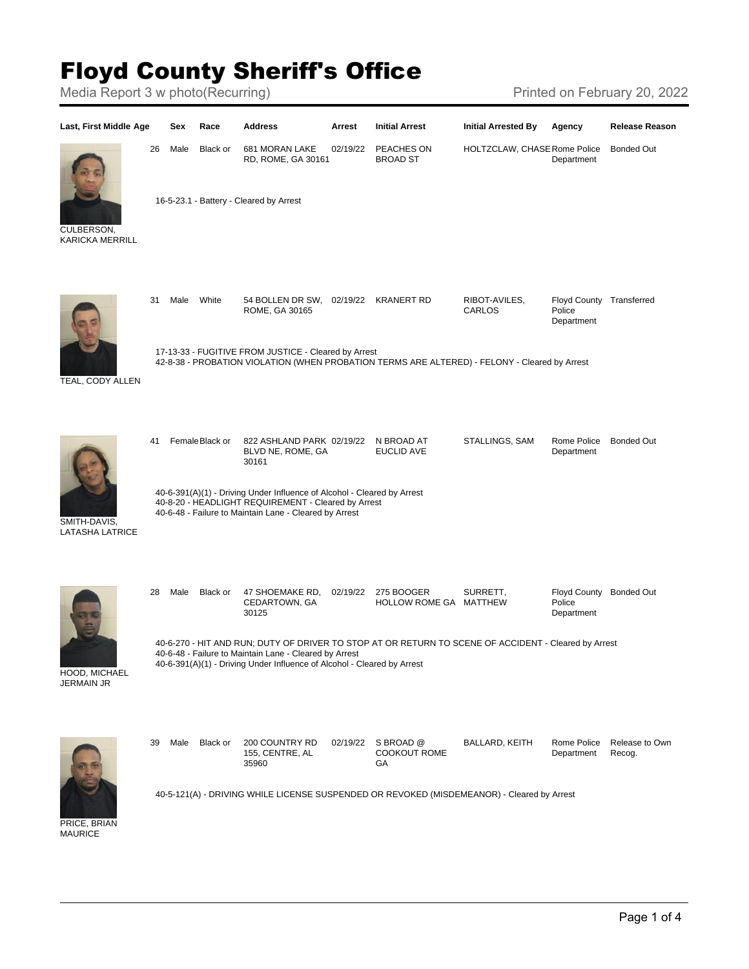## Floyd County Sheriff's Office

Media Report 3 w photo(Recurring) Media Report 3 w photo(Recurring)



**MAURICE**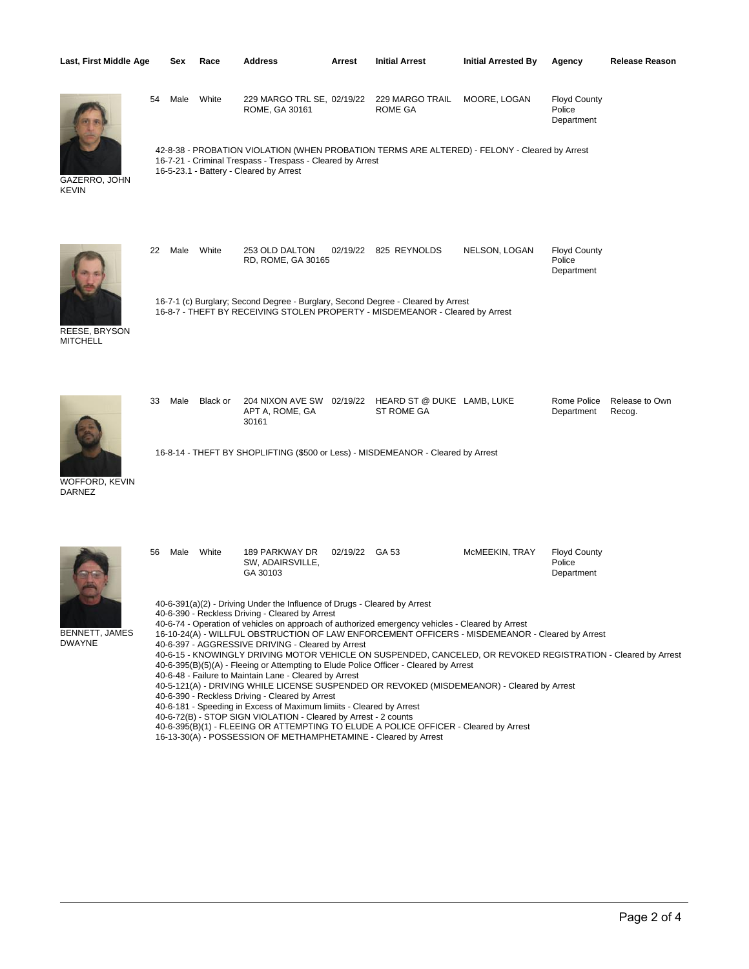| Last, First Middle Age           |    | Sex  | Race     | <b>Address</b>                                                                                                                                                                                                                                                                                                                                                                                                                                                                              | Arrest         | <b>Initial Arrest</b>                                                                                                                                                                                                                                                                                                                                                                                                                                                                                                                                                                               | <b>Initial Arrested By</b> | Agency                                      | <b>Release Reason</b>    |
|----------------------------------|----|------|----------|---------------------------------------------------------------------------------------------------------------------------------------------------------------------------------------------------------------------------------------------------------------------------------------------------------------------------------------------------------------------------------------------------------------------------------------------------------------------------------------------|----------------|-----------------------------------------------------------------------------------------------------------------------------------------------------------------------------------------------------------------------------------------------------------------------------------------------------------------------------------------------------------------------------------------------------------------------------------------------------------------------------------------------------------------------------------------------------------------------------------------------------|----------------------------|---------------------------------------------|--------------------------|
| GAZERRO, JOHN<br><b>KEVIN</b>    | 54 | Male | White    | 229 MARGO TRL SE, 02/19/22<br>ROME, GA 30161<br>16-7-21 - Criminal Trespass - Trespass - Cleared by Arrest<br>16-5-23.1 - Battery - Cleared by Arrest                                                                                                                                                                                                                                                                                                                                       |                | 229 MARGO TRAIL<br>ROME GA<br>42-8-38 - PROBATION VIOLATION (WHEN PROBATION TERMS ARE ALTERED) - FELONY - Cleared by Arrest                                                                                                                                                                                                                                                                                                                                                                                                                                                                         | MOORE, LOGAN               | <b>Floyd County</b><br>Police<br>Department |                          |
| REESE, BRYSON<br><b>MITCHELL</b> | 22 | Male | White    | 253 OLD DALTON<br>RD, ROME, GA 30165                                                                                                                                                                                                                                                                                                                                                                                                                                                        |                | 02/19/22 825 REYNOLDS<br>16-7-1 (c) Burglary; Second Degree - Burglary, Second Degree - Cleared by Arrest<br>16-8-7 - THEFT BY RECEIVING STOLEN PROPERTY - MISDEMEANOR - Cleared by Arrest                                                                                                                                                                                                                                                                                                                                                                                                          | NELSON, LOGAN              | <b>Floyd County</b><br>Police<br>Department |                          |
| WOFFORD, KEVIN<br><b>DARNEZ</b>  | 33 | Male | Black or | 204 NIXON AVE SW<br>APT A, ROME, GA<br>30161                                                                                                                                                                                                                                                                                                                                                                                                                                                |                | 02/19/22 HEARD ST @ DUKE LAMB, LUKE<br>ST ROME GA<br>16-8-14 - THEFT BY SHOPLIFTING (\$500 or Less) - MISDEMEANOR - Cleared by Arrest                                                                                                                                                                                                                                                                                                                                                                                                                                                               |                            | Rome Police<br>Department                   | Release to Own<br>Recog. |
| BENNETT, JAMES<br><b>DWAYNE</b>  | 56 | Male | White    | 189 PARKWAY DR<br>SW, ADAIRSVILLE,<br>GA 30103<br>40-6-391(a)(2) - Driving Under the Influence of Drugs - Cleared by Arrest<br>40-6-390 - Reckless Driving - Cleared by Arrest<br>40-6-397 - AGGRESSIVE DRIVING - Cleared by Arrest<br>40-6-48 - Failure to Maintain Lane - Cleared by Arrest<br>40-6-390 - Reckless Driving - Cleared by Arrest<br>40-6-181 - Speeding in Excess of Maximum limiits - Cleared by Arrest<br>40-6-72(B) - STOP SIGN VIOLATION - Cleared by Arrest - 2 counts | 02/19/22 GA 53 | 40-6-74 - Operation of vehicles on approach of authorized emergency vehicles - Cleared by Arrest<br>16-10-24(A) - WILLFUL OBSTRUCTION OF LAW ENFORCEMENT OFFICERS - MISDEMEANOR - Cleared by Arrest<br>40-6-15 - KNOWINGLY DRIVING MOTOR VEHICLE ON SUSPENDED, CANCELED, OR REVOKED REGISTRATION - Cleared by Arrest<br>40-6-395(B)(5)(A) - Fleeing or Attempting to Elude Police Officer - Cleared by Arrest<br>40-5-121(A) - DRIVING WHILE LICENSE SUSPENDED OR REVOKED (MISDEMEANOR) - Cleared by Arrest<br>40-6-395(B)(1) - FLEEING OR ATTEMPTING TO ELUDE A POLICE OFFICER - Cleared by Arrest | McMEEKIN, TRAY             | <b>Floyd County</b><br>Police<br>Department |                          |

16-13-30(A) - POSSESSION OF METHAMPHETAMINE - Cleared by Arrest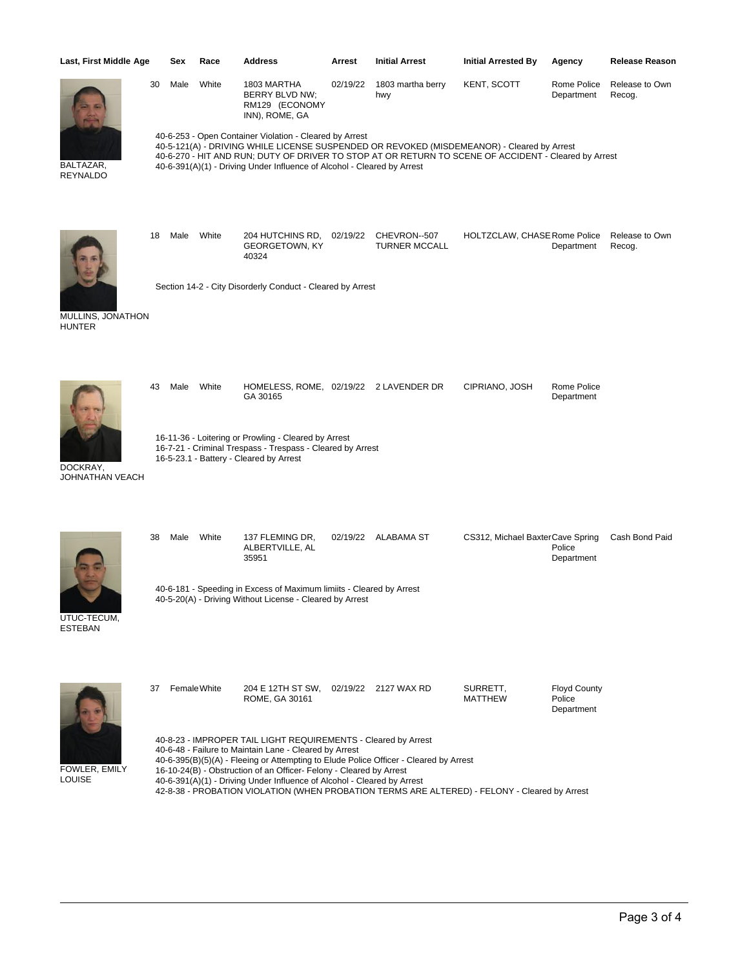| Last, First Middle Age             |    | Sex                                                                                                                                                                                                                                                                                                                                                                                                                                                                  | Race  | <b>Address</b>                                                                                                                                                                                                                                                                                                                           | Arrest   | <b>Initial Arrest</b>                | <b>Initial Arrested By</b>       | Agency                                      | <b>Release Reason</b>    |  |  |
|------------------------------------|----|----------------------------------------------------------------------------------------------------------------------------------------------------------------------------------------------------------------------------------------------------------------------------------------------------------------------------------------------------------------------------------------------------------------------------------------------------------------------|-------|------------------------------------------------------------------------------------------------------------------------------------------------------------------------------------------------------------------------------------------------------------------------------------------------------------------------------------------|----------|--------------------------------------|----------------------------------|---------------------------------------------|--------------------------|--|--|
|                                    | 30 | Male                                                                                                                                                                                                                                                                                                                                                                                                                                                                 | White | 1803 MARTHA<br>BERRY BLVD NW;<br>RM129 (ECONOMY<br>INN), ROME, GA                                                                                                                                                                                                                                                                        | 02/19/22 | 1803 martha berry<br>hwy             | KENT, SCOTT                      | Rome Police<br>Department                   | Release to Own<br>Recog. |  |  |
| BALTAZAR,<br><b>REYNALDO</b>       |    |                                                                                                                                                                                                                                                                                                                                                                                                                                                                      |       | 40-6-253 - Open Container Violation - Cleared by Arrest<br>40-5-121(A) - DRIVING WHILE LICENSE SUSPENDED OR REVOKED (MISDEMEANOR) - Cleared by Arrest<br>40-6-270 - HIT AND RUN; DUTY OF DRIVER TO STOP AT OR RETURN TO SCENE OF ACCIDENT - Cleared by Arrest<br>40-6-391(A)(1) - Driving Under Influence of Alcohol - Cleared by Arrest |          |                                      |                                  |                                             |                          |  |  |
|                                    | 18 | Male                                                                                                                                                                                                                                                                                                                                                                                                                                                                 | White | 204 HUTCHINS RD,<br><b>GEORGETOWN, KY</b><br>40324                                                                                                                                                                                                                                                                                       | 02/19/22 | CHEVRON--507<br><b>TURNER MCCALL</b> | HOLTZCLAW, CHASE Rome Police     | Department                                  | Release to Own<br>Recog. |  |  |
| MULLINS, JONATHON<br><b>HUNTER</b> |    |                                                                                                                                                                                                                                                                                                                                                                                                                                                                      |       | Section 14-2 - City Disorderly Conduct - Cleared by Arrest                                                                                                                                                                                                                                                                               |          |                                      |                                  |                                             |                          |  |  |
|                                    | 43 | Male                                                                                                                                                                                                                                                                                                                                                                                                                                                                 | White | HOMELESS, ROME, 02/19/22 2 LAVENDER DR<br>GA 30165                                                                                                                                                                                                                                                                                       |          |                                      | CIPRIANO, JOSH                   | Rome Police<br>Department                   |                          |  |  |
| DOCKRAY,<br>JOHNATHAN VEACH        |    | 16-11-36 - Loitering or Prowling - Cleared by Arrest<br>16-7-21 - Criminal Trespass - Trespass - Cleared by Arrest<br>16-5-23.1 - Battery - Cleared by Arrest                                                                                                                                                                                                                                                                                                        |       |                                                                                                                                                                                                                                                                                                                                          |          |                                      |                                  |                                             |                          |  |  |
|                                    | 38 | Male                                                                                                                                                                                                                                                                                                                                                                                                                                                                 | White | 137 FLEMING DR,<br>ALBERTVILLE, AL<br>35951                                                                                                                                                                                                                                                                                              |          | 02/19/22 ALABAMA ST                  | CS312, Michael BaxterCave Spring | Police<br>Department                        | Cash Bond Paid           |  |  |
| UTUC-TECUM,<br><b>ESTEBAN</b>      |    |                                                                                                                                                                                                                                                                                                                                                                                                                                                                      |       | 40-6-181 - Speeding in Excess of Maximum limiits - Cleared by Arrest<br>40-5-20(A) - Driving Without License - Cleared by Arrest                                                                                                                                                                                                         |          |                                      |                                  |                                             |                          |  |  |
|                                    | 37 | Female White                                                                                                                                                                                                                                                                                                                                                                                                                                                         |       | 204 E 12TH ST SW, 02/19/22 2127 WAX RD<br>ROME, GA 30161                                                                                                                                                                                                                                                                                 |          |                                      | SURRETT,<br><b>MATTHEW</b>       | <b>Floyd County</b><br>Police<br>Department |                          |  |  |
| FOWLER, EMILY<br>LOUISE            |    | 40-8-23 - IMPROPER TAIL LIGHT REQUIREMENTS - Cleared by Arrest<br>40-6-48 - Failure to Maintain Lane - Cleared by Arrest<br>40-6-395(B)(5)(A) - Fleeing or Attempting to Elude Police Officer - Cleared by Arrest<br>16-10-24(B) - Obstruction of an Officer- Felony - Cleared by Arrest<br>40-6-391(A)(1) - Driving Under Influence of Alcohol - Cleared by Arrest<br>42-8-38 - PROBATION VIOLATION (WHEN PROBATION TERMS ARE ALTERED) - FELONY - Cleared by Arrest |       |                                                                                                                                                                                                                                                                                                                                          |          |                                      |                                  |                                             |                          |  |  |